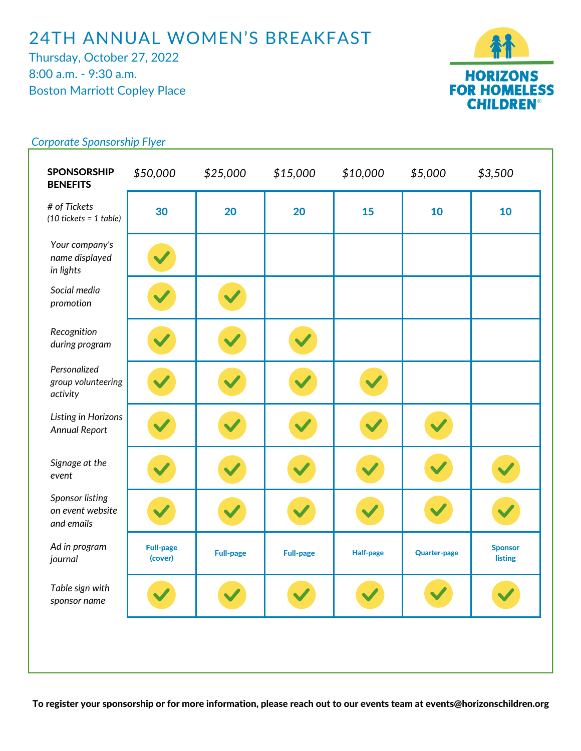## 24TH ANNUAL WOMEN'S BREAKFAST

Thursday, October 27, 2022 8:00 a.m. - 9:30 a.m. Boston Marriott Copley Place



## 30 | 20 | 20 | 15 | 10 | 10 Full-page (cover) Full-page | Full-page | Half-page | Quarter-page Sponsor listing SPONSORSHIP **BENEFITS** *\$50,000 \$25,000 \$15,000 \$10,000 \$5,000 \$3,500 Your company's name displayed in lights Personalized group volunteering activity Social media promotion Recognition during program Listing in Horizons Annual Report Signage at the event Ad in program journal Sponsor listing on event website and emails Table sign with sponsor name # of Tickets (10 tickets = 1 table)*

## *Corporate Sponsorship Flyer*

To register your sponsorship or for more information, please reach out to our events team at events@horizonschildren.org